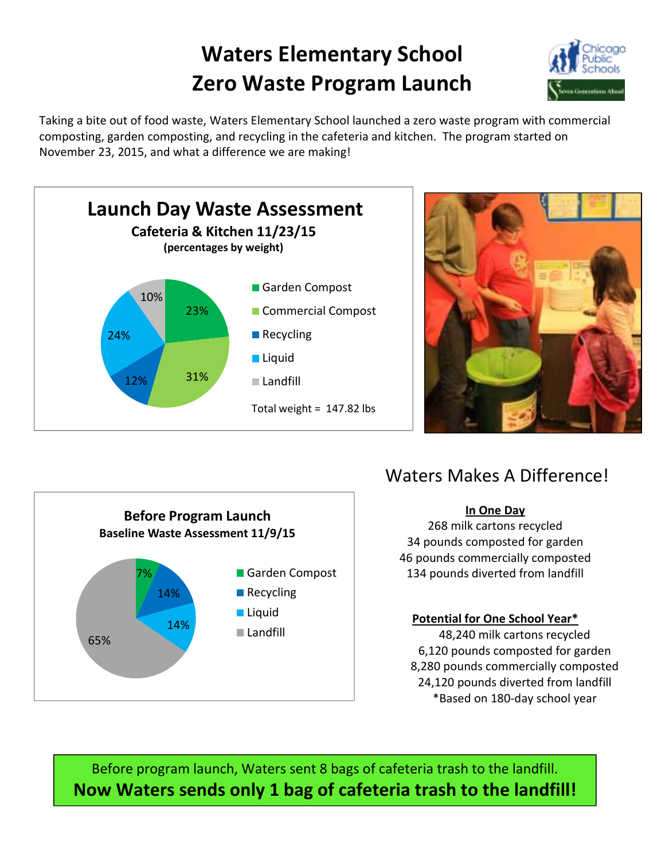## **Waters Elementary School Zero Waste Program Launch**



Taking a bite out of food waste, Waters Elementary School launched a zero waste program with commercial composting, garden composting, and recycling in the cafeteria and kitchen. The program started on November 23, 2015, and what a difference we are making!







### Waters Makes A Difference!

#### **In One Day**

268 milk cartons recycled 34 pounds composted for garden 46 pounds commercially composted 134 pounds diverted from landfill

#### **Potential for One School Year\***

48,240 milk cartons recycled 6,120 pounds composted for garden 8,280 pounds commercially composted 24,120 pounds diverted from landfill \*Based on 180-day school year

Before program launch, Waters sent 8 bags of cafeteria trash to the landfill. **Now Waters sends only 1 bag of cafeteria trash to the landfill!**